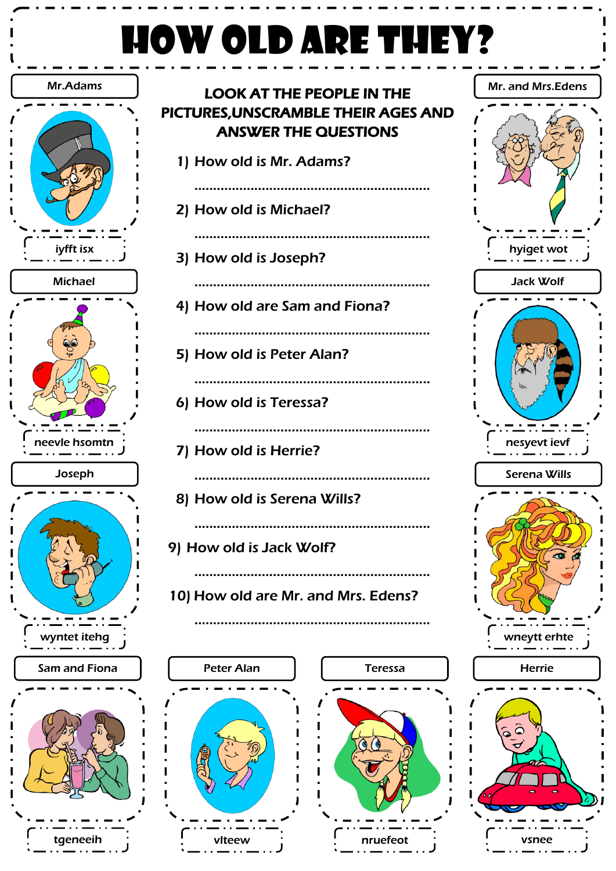## HOW OLD ARE THEY?





nruefeot

vlteew

vsnee